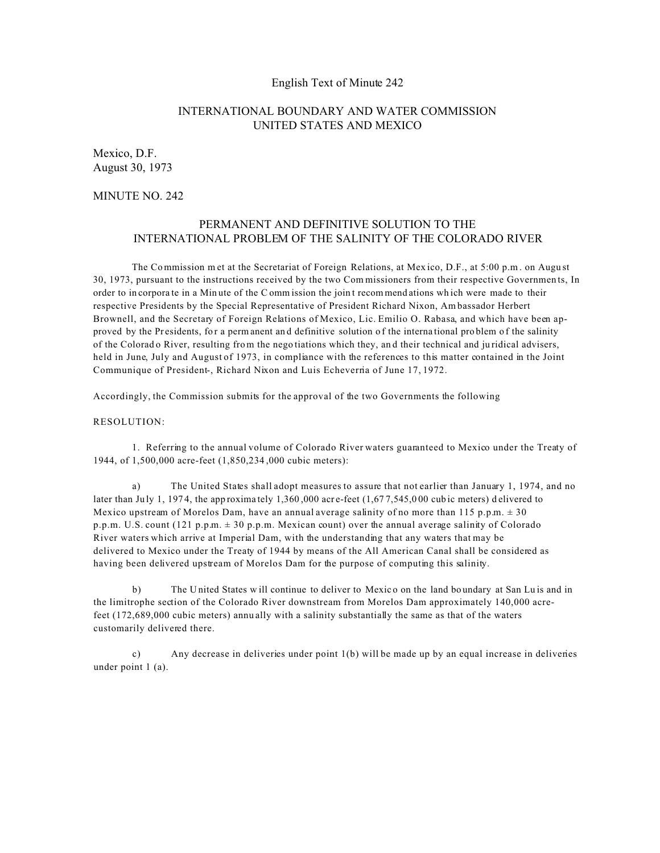#### English Text of Minute 242

# INTERNATIONAL BOUNDARY AND WATER COMMISSION UNITED STATES AND MEXICO

Mexico, D.F. August 30, 1973

## MINUTE NO. 242

## PERMANENT AND DEFINITIVE SOLUTION TO THE INTERNATIONAL PROBLEM OF THE SALINITY OF THE COLORADO RIVER

The Commission m et at the Secretariat of Foreign Relations, at Mex ico, D.F., at 5:00 p.m . on Augu st 30, 1973, pursuant to the instructions received by the two Com missioners from their respective Governmen ts, In order to in corpora te in a Min ute of the C omm ission the join t recommend ations wh ich were made to their respective Presidents by the Special Representative of President Richard Nixon, Am bassador Herbert Brownell, and the Secretary of Foreign Relations of Mexico, Lic. Emilio O. Rabasa, and which have been approved by the Pr esidents, for a permanent and definitive solution of the international problem of the salinity of the Colorad o River, resulting from the nego tiations which they, an d their technical and ju ridical advisers, held in June, July and August of 1973, in compliance with the references to this matter contained in the Joint Communique of President-, Richard Nixon and Luis Echeverria of June 17, 1972.

Accordingly, the Commission submits for the approval of the two Governments the following

#### RESOLUTION:

1. Referring to the annual volume of Colorado River waters guaranteed to Mexico under the Treaty of 1944, of 1,500,000 acre-feet (1,850,234 ,000 cubic meters):

a) The United States shall adopt measures to assure that not earlier than January 1, 1974, and no later than July 1, 1974, the app roximately  $1,360,000$  acre-feet  $(1,677,545,000$  cubic meters) d elivered to Mexico upstream of Morelos Dam, have an annual average salinity of no more than 115 p.p.m.  $\pm$  30 p.p.m. U.S. count (121 p.p.m. ± 30 p.p.m. Mexican count) over the annual average salinity of Colorado River waters which arrive at Imperial Dam, with the understanding that any waters that may be delivered to Mexico under the Treaty of 1944 by means of the All American Canal shall be considered as having been delivered upstream of Morelos Dam for the purpose of computing this salinity.

b) The U nited States w ill continue to deliver to Mexic o on the land bo undary at San Lu is and in the limitrophe section of the Colorado River downstream from Morelos Dam approximately 140,000 acrefeet (172,689,000 cubic meters) annu ally with a salinity substantially the same as that of the waters customarily delivered there.

c) Any decrease in deliveries under point 1(b) will be made up by an equal increase in deliveries under point 1 (a).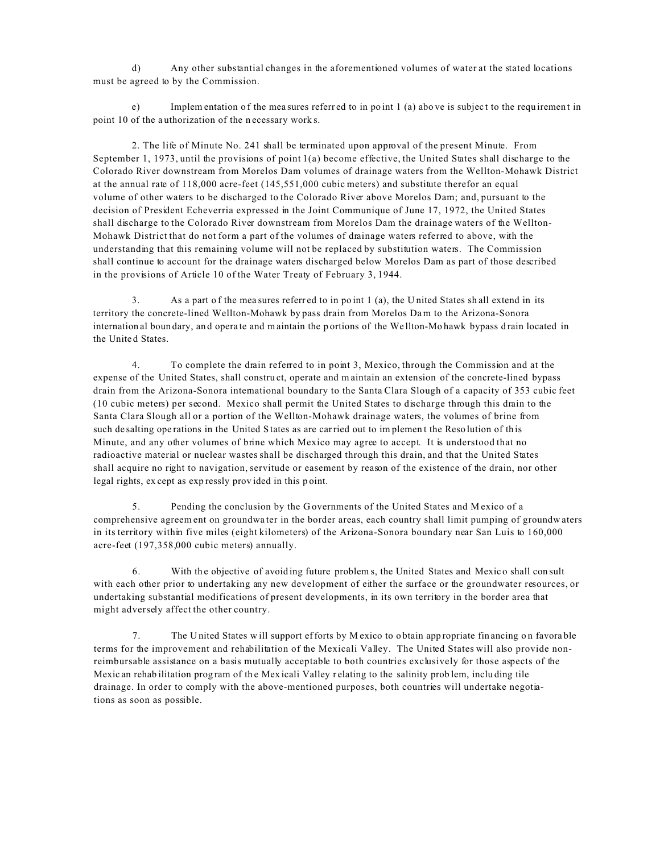d) Any other substantial changes in the aforementioned volumes of water at the stated locations must be agreed to by the Commission.

e) Implem entation o f the mea sures referr ed to in po int 1 (a) abo ve is subjec t to the requ iremen t in point 10 of the a uthorization of the n ecessary work s.

2. The life of Minute No. 241 shall be terminated upon approval of the present Minute. From September 1, 1973, until the provisions of point 1(a) become effective, the United States shall discharge to the Colorado River downstream from Morelos Dam volumes of drainage waters from the Wellton-Mohawk District at the annual rate of 118,000 acre-feet (145,551,000 cubic meters) and substitute therefor an equal volume of other waters to be discharged to the Colorado River above Morelos Dam; and, pursuant to the decision of President Echeverria expressed in the Joint Communique of June 17, 1972, the United States shall discharge to the Colorado River downstream from Morelos Dam the drainage waters of the Wellton-Mohawk District that do not form a part of the volumes of drainage waters referred to above, with the understanding that this remaining volume will not be replaced by substitution waters. The Commission shall continue to account for the drainage waters discharged below Morelos Dam as part of those described in the provisions of Article 10 of the Water Treaty of February 3, 1944.

3. As a part o f the mea sures referr ed to in po int 1 (a), the U nited States sh all extend in its territory the concrete-lined Wellton-Mohawk by pass drain from Morelos Dam to the Arizona-Sonora internation al boundary, and operate and maintain the portions of the Wellton-Mo hawk bypass drain located in the Unite d States.

4. To complete the drain referred to in point 3, Mexico, through the Commission and at the expense of the United States, shall constru ct, operate and m aintain an extension of the concrete-lined bypass drain from the Arizona-Sonora international boundary to the Santa Clara Slough of a capacity of 353 cubic feet (10 cubic meters) per second. Mexico shall permit the United States to discharge through this drain to the Santa Clara Slough all or a portion of the Wellton-Mohawk drainage waters, the volumes of brine from such de salting operations in the United States as are carried out to implement the Resolution of this Minute, and any other volumes of brine which Mexico may agree to accept. It is understood that no radioactive material or nuclear wastes shall be discharged through this drain, and that the United States shall acquire no right to navigation, servitude or easement by reason of the existence of the drain, nor other legal rights, ex cept as exp ressly prov ided in this p oint.

5. Pending the conclusion by the G overnments of the United States and M exico of a comprehensive agreem ent on groundwa ter in the border areas, each country shall limit pumping of groundw aters in its territory within five miles (eight kilometers) of the Arizona-Sonora boundary near San Luis to 160,000 acre-feet (197,358,000 cubic meters) annually.

6. With the objective of avoiding future problems, the United States and Mexico shall consult with each other prior to undertaking any new development of either the surface or the groundwater resources, or undertaking substantial modifications of present developments, in its own territory in the border area that might adversely affect the other country.

7. The U nited States w ill support efforts by M exico to o btain app ropriate fin ancing o n favora ble terms for the improvement and rehabilitation of the Mexicali Valley. The United States will also provide nonreimbursable assistance on a basis mutually acceptable to both countries exclusively for those aspects of the Mexic an rehab ilitation prog ram of th e Mex icali Valley r elating to the salinity prob lem, inclu ding tile drainage. In order to comply with the above-mentioned purposes, both countries will undertake negotiations as soon as possible.